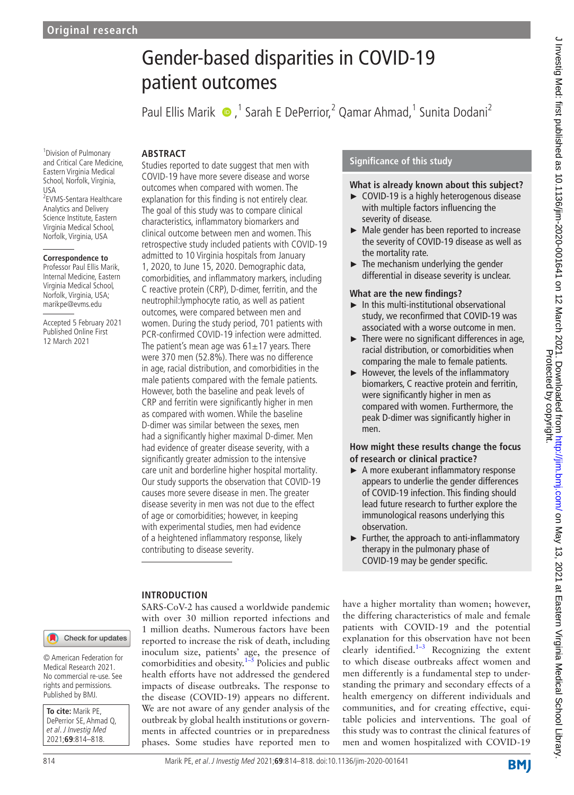# Gender‐based disparities in COVID-19 patient outcomes

Paul Ellis Marik  $\bullet$ ,<sup>1</sup> Sarah E DePerrior,<sup>2</sup> Qamar Ahmad,<sup>1</sup> Sunita Dodani<sup>2</sup>

## **ABSTRACT**

1 Division of Pulmonary and Critical Care Medicine, Eastern Virginia Medical School, Norfolk, Virginia, USA 2 EVMS-Sentara Healthcare Analytics and Delivery Science Institute, Eastern Virginia Medical School, Norfolk, Virginia, USA

#### **Correspondence to**

Professor Paul Ellis Marik, Internal Medicine, Eastern Virginia Medical School, Norfolk, Virginia, USA; marikpe@evms.edu

Accepted 5 February 2021 Published Online First 12 March 2021

Studies reported to date suggest that men with COVID-19 have more severe disease and worse outcomes when compared with women. The explanation for this finding is not entirely clear. The goal of this study was to compare clinical characteristics, inflammatory biomarkers and clinical outcome between men and women. This retrospective study included patients with COVID-19 admitted to 10 Virginia hospitals from January 1, 2020, to June 15, 2020. Demographic data, comorbidities, and inflammatory markers, including C reactive protein (CRP), D-dimer, ferritin, and the neutrophil:lymphocyte ratio, as well as patient outcomes, were compared between men and women. During the study period, 701 patients with PCR-confirmed COVID-19 infection were admitted. The patient's mean age was  $61±17$  years. There were 370 men (52.8%). There was no difference in age, racial distribution, and comorbidities in the male patients compared with the female patients. However, both the baseline and peak levels of CRP and ferritin were significantly higher in men as compared with women. While the baseline D-dimer was similar between the sexes, men had a significantly higher maximal D-dimer. Men had evidence of greater disease severity, with a significantly greater admission to the intensive care unit and borderline higher hospital mortality. Our study supports the observation that COVID-19 causes more severe disease in men. The greater disease severity in men was not due to the effect of age or comorbidities; however, in keeping with experimental studies, men had evidence of a heightened inflammatory response, likely contributing to disease severity.

## **Significance of this study**

## **What is already known about this subject?**

- ► COVID-19 is a highly heterogenous disease with multiple factors influencing the severity of disease.
- ► Male gender has been reported to increase the severity of COVID-19 disease as well as the mortality rate.
- $\blacktriangleright$  The mechanism underlying the gender differential in disease severity is unclear.

## **What are the new findings?**

- ► In this multi-institutional observational study, we reconfirmed that COVID-19 was associated with a worse outcome in men.
- $\blacktriangleright$  There were no significant differences in age, racial distribution, or comorbidities when comparing the male to female patients.
- ► However, the levels of the inflammatory biomarkers, C reactive protein and ferritin, were significantly higher in men as compared with women. Furthermore, the peak D-dimer was significantly higher in men.

## **How might these results change the focus of research or clinical practice?**

- ► A more exuberant inflammatory response appears to underlie the gender differences of COVID-19 infection. This finding should lead future research to further explore the immunological reasons underlying this observation.
- ► Further, the approach to anti-inflammatory therapy in the pulmonary phase of COVID-19 may be gender specific.

## **INTRODUCTION**

SARS-CoV-2 has caused a worldwide pandemic with over 30 million reported infections and 1 million deaths. Numerous factors have been reported to increase the risk of death, including inoculum size, patients' age, the presence of comorbidities and obesity. $1-\overline{5}$  Policies and public health efforts have not addressed the gendered impacts of disease outbreaks. The response to the disease (COVID-19) appears no different. We are not aware of any gender analysis of the outbreak by global health institutions or governments in affected countries or in preparedness phases. Some studies have reported men to have a higher mortality than women; however, the differing characteristics of male and female patients with COVID-19 and the potential explanation for this observation have not been clearly identified.<sup>1–3</sup> Recognizing the extent to which disease outbreaks affect women and men differently is a fundamental step to understanding the primary and secondary effects of a health emergency on different individuals and communities, and for creating effective, equitable policies and interventions. The goal of this study was to contrast the clinical features of men and women hospitalized with COVID-19

Check for updates

© American Federation for Medical Research 2021. No commercial re-use. See rights and permissions. Published by BMJ.

**To cite:** Marik PE, DePerrior SE, Ahmad Q, et al. J Investig Med 2021;**69**:814–818.

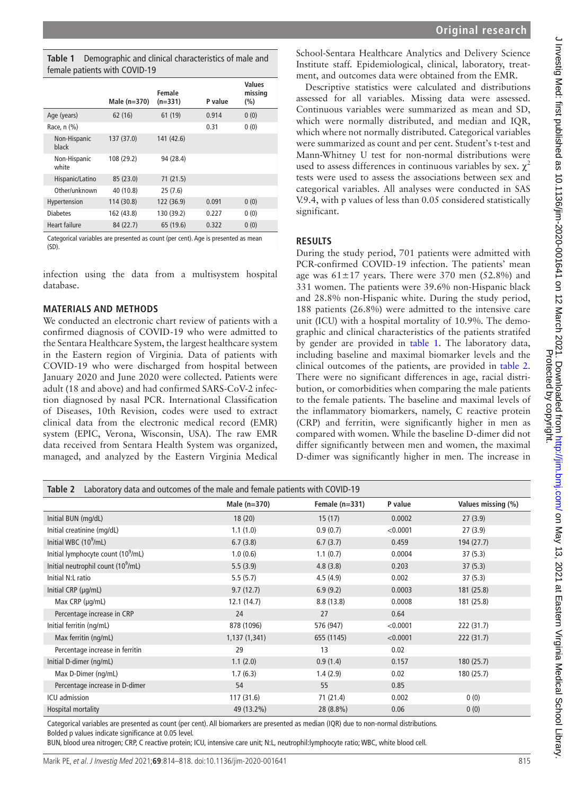<span id="page-1-0"></span>

| <b>Table 1</b> Demographic and clinical characteristics of male and |
|---------------------------------------------------------------------|
| female patients with COVID-19                                       |

|                       | Male $(n=370)$ | Female<br>$(n=331)$ | P value | Values<br>missing<br>(%) |
|-----------------------|----------------|---------------------|---------|--------------------------|
| Age (years)           | 62 (16)        | 61 (19)             | 0.914   | 0(0)                     |
| Race, n (%)           |                |                     | 0.31    | 0(0)                     |
| Non-Hispanic<br>black | 137 (37.0)     | 141 (42.6)          |         |                          |
| Non-Hispanic<br>white | 108 (29.2)     | 94 (28.4)           |         |                          |
| Hispanic/Latino       | 85 (23.0)      | 71(21.5)            |         |                          |
| Other/unknown         | 40 (10.8)      | 25(7.6)             |         |                          |
| Hypertension          | 114 (30.8)     | 122 (36.9)          | 0.091   | 0(0)                     |
| <b>Diabetes</b>       | 162 (43.8)     | 130 (39.2)          | 0.227   | 0(0)                     |
| Heart failure         | 84 (22.7)      | 65 (19.6)           | 0.322   | 0(0)                     |

Categorical variables are presented as count (per cent). Age is presented as mean  $(SD)$ 

infection using the data from a multisystem hospital database.

### **MATERIALS AND METHODS**

We conducted an electronic chart review of patients with a confirmed diagnosis of COVID-19 who were admitted to the Sentara Healthcare System, the largest healthcare system in the Eastern region of Virginia. Data of patients with COVID-19 who were discharged from hospital between January 2020 and June 2020 were collected. Patients were adult (18 and above) and had confirmed SARS-CoV-2 infection diagnosed by nasal PCR. International Classification of Diseases, 10th Revision, codes were used to extract clinical data from the electronic medical record (EMR) system (EPIC, Verona, Wisconsin, USA). The raw EMR data received from Sentara Health System was organized, managed, and analyzed by the Eastern Virginia Medical

School-Sentara Healthcare Analytics and Delivery Science Institute staff. Epidemiological, clinical, laboratory, treatment, and outcomes data were obtained from the EMR.

Descriptive statistics were calculated and distributions assessed for all variables. Missing data were assessed. Continuous variables were summarized as mean and SD, which were normally distributed, and median and IQR, which where not normally distributed. Categorical variables were summarized as count and per cent. Student's t-test and Mann-Whitney U test for non-normal distributions were used to assess differences in continuous variables by sex.  $\chi^2$ tests were used to assess the associations between sex and categorical variables. All analyses were conducted in SAS V.9.4, with p values of less than 0.05 considered statistically significant.

## **RESULTS**

During the study period, 701 patients were admitted with PCR-confirmed COVID-19 infection. The patients' mean age was  $61\pm17$  years. There were 370 men (52.8%) and 331 women. The patients were 39.6% non-Hispanic black and 28.8% non-Hispanic white. During the study period, 188 patients (26.8%) were admitted to the intensive care unit (ICU) with a hospital mortality of 10.9%. The demographic and clinical characteristics of the patients stratifed by gender are provided in [table](#page-1-0) 1. The laboratory data, including baseline and maximal biomarker levels and the clinical outcomes of the patients, are provided in [table](#page-1-1) 2. There were no significant differences in age, racial distribution, or comorbidities when comparing the male patients to the female patients. The baseline and maximal levels of the inflammatory biomarkers, namely, C reactive protein (CRP) and ferritin, were significantly higher in men as compared with women. While the baseline D-dimer did not differ significantly between men and women, the maximal D-dimer was significantly higher in men. The increase in

<span id="page-1-1"></span>

| Laboratory data and outcomes of the male and female patients with COVID-19<br>Table 2 |               |                  |          |                    |  |  |  |  |
|---------------------------------------------------------------------------------------|---------------|------------------|----------|--------------------|--|--|--|--|
|                                                                                       | Male (n=370)  | Female $(n=331)$ | P value  | Values missing (%) |  |  |  |  |
| Initial BUN (mg/dL)                                                                   | 18(20)        | 15(17)           | 0.0002   | 27(3.9)            |  |  |  |  |
| Initial creatinine (mg/dL)                                                            | 1.1(1.0)      | 0.9(0.7)         | < 0.0001 | 27(3.9)            |  |  |  |  |
| Initial WBC (10 <sup>9</sup> /mL)                                                     | 6.7(3.8)      | 6.7(3.7)         | 0.459    | 194 (27.7)         |  |  |  |  |
| Initial lymphocyte count (10 <sup>9</sup> /mL)                                        | 1.0(0.6)      | 1.1(0.7)         | 0.0004   | 37(5.3)            |  |  |  |  |
| Initial neutrophil count $(10^9/mL)$                                                  | 5.5(3.9)      | 4.8(3.8)         | 0.203    | 37(5.3)            |  |  |  |  |
| Initial N:L ratio                                                                     | 5.5(5.7)      | 4.5(4.9)         | 0.002    | 37(5.3)            |  |  |  |  |
| Initial CRP (µg/mL)                                                                   | 9.7(12.7)     | 6.9(9.2)         | 0.0003   | 181 (25.8)         |  |  |  |  |
| Max $CRP$ ( $\mu$ g/mL)                                                               | 12.1(14.7)    | 8.8(13.8)        | 0.0008   | 181 (25.8)         |  |  |  |  |
| Percentage increase in CRP                                                            | 24            | 27               | 0.64     |                    |  |  |  |  |
| Initial ferritin (ng/mL)                                                              | 878 (1096)    | 576 (947)        | < 0.0001 | 222 (31.7)         |  |  |  |  |
| Max ferritin (ng/mL)                                                                  | 1,137 (1,341) | 655 (1145)       | < 0.0001 | 222(31.7)          |  |  |  |  |
| Percentage increase in ferritin                                                       | 29            | 13               | 0.02     |                    |  |  |  |  |
| Initial D-dimer (ng/mL)                                                               | 1.1(2.0)      | 0.9(1.4)         | 0.157    | 180(25.7)          |  |  |  |  |
| Max D-Dimer (ng/mL)                                                                   | 1.7(6.3)      | 1.4(2.9)         | 0.02     | 180 (25.7)         |  |  |  |  |
| Percentage increase in D-dimer                                                        | 54            | 55               | 0.85     |                    |  |  |  |  |
| ICU admission                                                                         | 117 (31.6)    | 71 (21.4)        | 0.002    | 0(0)               |  |  |  |  |
| Hospital mortality                                                                    | 49 (13.2%)    | 28 (8.8%)        | 0.06     | 0(0)               |  |  |  |  |

Categorical variables are presented as count (per cent). All biomarkers are presented as median (IQR) due to non-normal distributions. Bolded p values indicate significance at 0.05 level.

BUN, blood urea nitrogen; CRP, C reactive protein; ICU, intensive care unit; N:L, neutrophil:lymphocyte ratio; WBC, white blood cell.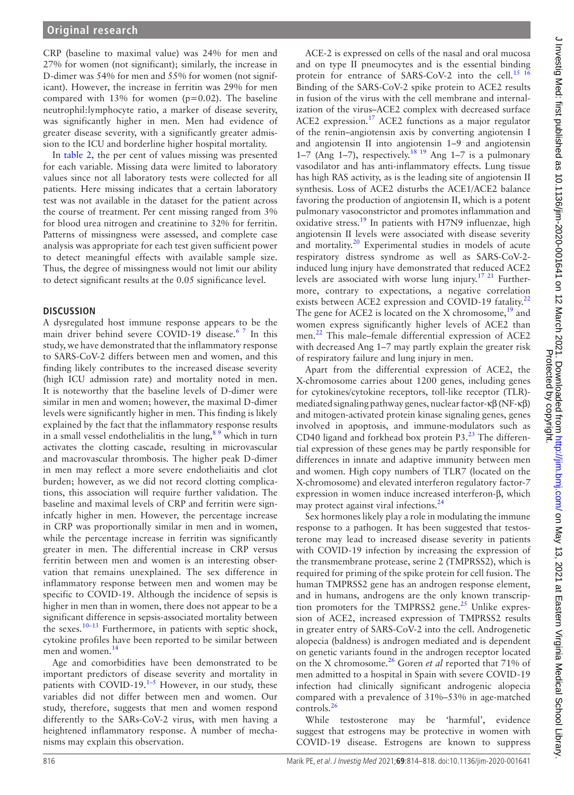CRP (baseline to maximal value) was 24% for men and 27% for women (not significant); similarly, the increase in D-dimer was 54% for men and 55% for women (not significant). However, the increase in ferritin was 29% for men compared with  $13\%$  for women (p=0.02). The baseline neutrophil:lymphocyte ratio, a marker of disease severity, was significantly higher in men. Men had evidence of greater disease severity, with a significantly greater admission to the ICU and borderline higher hospital mortality.

In [table](#page-1-1) 2, the per cent of values missing was presented for each variable. Missing data were limited to laboratory values since not all laboratory tests were collected for all patients. Here missing indicates that a certain laboratory test was not available in the dataset for the patient across the course of treatment. Per cent missing ranged from 3% for blood urea nitrogen and creatinine to 32% for ferritin. Patterns of missingness were assessed, and complete case analysis was appropriate for each test given sufficient power to detect meaningful effects with available sample size. Thus, the degree of missingness would not limit our ability to detect significant results at the 0.05 significance level.

#### **DISCUSSION**

A dysregulated host immune response appears to be the main driver behind severe COVID-19 disease.<sup>67</sup> In this study, we have demonstrated that the inflammatory response to SARS-CoV-2 differs between men and women, and this finding likely contributes to the increased disease severity (high ICU admission rate) and mortality noted in men. It is noteworthy that the baseline levels of D-dimer were similar in men and women; however, the maximal D-dimer levels were significantly higher in men. This finding is likely explained by the fact that the inflammatory response results in a small vessel endothelialitis in the lung,  $89$  which in turn activates the clotting cascade, resulting in microvascular and macrovascular thrombosis. The higher peak D-dimer in men may reflect a more severe endotheliaitis and clot burden; however, as we did not record clotting complications, this association will require further validation. The baseline and maximal levels of CRP and ferritin were signinfcatly higher in men. However, the percentage increase in CRP was proportionally similar in men and in women, while the percentage increase in ferritin was significantly greater in men. The differential increase in CRP versus ferritin between men and women is an interesting observation that remains unexplained. The sex difference in inflammatory response between men and women may be specific to COVID-19. Although the incidence of sepsis is higher in men than in women, there does not appear to be a significant difference in sepsis-associated mortality between the sexes.<sup>[10–13](#page-3-3)</sup> Furthermore, in patients with septic shock, cytokine profiles have been reported to be similar between men and women.<sup>[14](#page-3-4)</sup>

Age and comorbidities have been demonstrated to be important predictors of disease severity and mortality in patients with COVID-19.<sup>1-5</sup> However, in our study, these variables did not differ between men and women. Our study, therefore, suggests that men and women respond differently to the SARs-CoV-2 virus, with men having a heightened inflammatory response. A number of mechanisms may explain this observation.

ACE-2 is expressed on cells of the nasal and oral mucosa and on type II pneumocytes and is the essential binding protein for entrance of SARS-CoV-2 into the cell.<sup>15</sup> <sup>1</sup> Binding of the SARS-CoV-2 spike protein to ACE2 results in fusion of the virus with the cell membrane and internalization of the virus–ACE2 complex with decreased surface ACE2 expression.<sup>17</sup> ACE2 functions as a major regulator of the renin–angiotensin axis by converting angiotensin I and angiotensin II into angiotensin 1–9 and angiotensin 1–7 (Ang 1–7), respectively.<sup>[18 19](#page-4-1)</sup> Ang 1–7 is a pulmonary vasodilator and has anti-inflammatory effects. Lung tissue has high RAS activity, as is the leading site of angiotensin II synthesis. Loss of ACE2 disturbs the ACE1/ACE2 balance favoring the production of angiotensin II, which is a potent pulmonary vasoconstrictor and promotes inflammation and oxidative stress.<sup>19</sup> In patients with H7N9 influenzae, high angiotensin II levels were associated with disease severity and mortality.<sup>[20](#page-4-3)</sup> Experimental studies in models of acute respiratory distress syndrome as well as SARS-CoV-2 induced lung injury have demonstrated that reduced ACE2 levels are associated with worse lung injury.<sup>17 21</sup> Furthermore, contrary to expectations, a negative correlation exists between ACE2 expression and COVID-19 fatality.<sup>[22](#page-4-4)</sup> The gene for ACE2 is located on the X chromosome, $19$  and women express significantly higher levels of ACE2 than men.<sup>[22](#page-4-4)</sup> This male–female differential expression of ACE2 with decreased Ang 1–7 may partly explain the greater risk of respiratory failure and lung injury in men.

Apart from the differential expression of ACE2, the X-chromosome carries about 1200 genes, including genes for cytokines/cytokine receptors, toll-like receptor (TLR) mediated signaling pathway genes, nuclear factor-κβ (NF-κβ) and mitogen-activated protein kinase signaling genes, genes involved in apoptosis, and immune-modulators such as CD40 ligand and forkhead box protein P3. $^{23}$  $^{23}$  $^{23}$  The differential expression of these genes may be partly responsible for differences in innate and adaptive immunity between men and women. High copy numbers of TLR7 (located on the X-chromosome) and elevated interferon regulatory factor-*7* expression in women induce increased interferon-β, which may protect against viral infections.<sup>[24](#page-4-6)</sup>

Sex hormones likely play a role in modulating the immune response to a pathogen. It has been suggested that testosterone may lead to increased disease severity in patients with COVID-19 infection by increasing the expression of the transmembrane protease, serine 2 (TMPRSS2), which is required for priming of the spike protein for cell fusion. The human TMPRSS2 gene has an androgen response element, and in humans, androgens are the only known transcription promoters for the TMPRSS2 gene. $^{25}$  Unlike expression of ACE2, increased expression of TMPRSS2 results in greater entry of SARS-CoV-2 into the cell. Androgenetic alopecia (baldness) is androgen mediated and is dependent on genetic variants found in the androgen receptor located on the X chromosome.[26](#page-4-8) Goren *et al* reported that 71% of men admitted to a hospital in Spain with severe COVID-19 infection had clinically significant androgenic alopecia compared with a prevalence of 31%–53% in age-matched controls.<sup>[26](#page-4-8)</sup>

While testosterone may be 'harmful', evidence suggest that estrogens may be protective in women with COVID-19 disease. Estrogens are known to suppress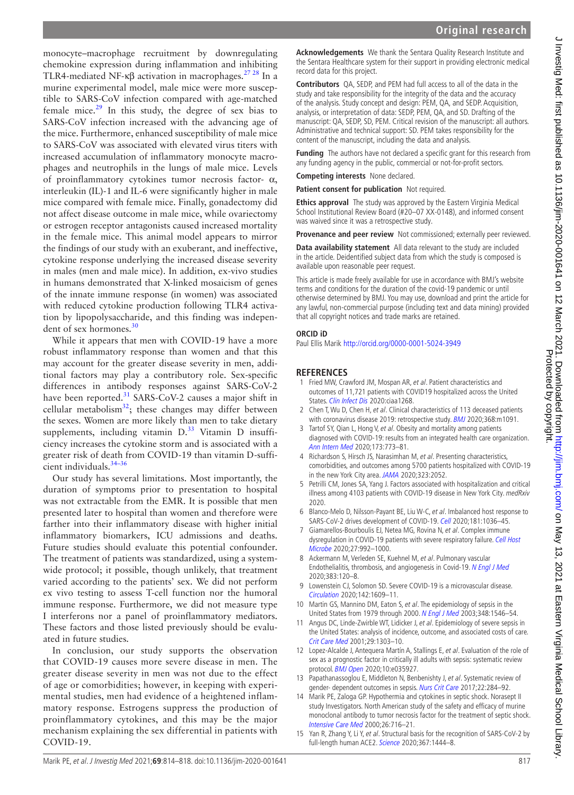monocyte–macrophage recruitment by downregulating chemokine expression during inflammation and inhibiting TLR4-mediated NF-κβ activation in macrophages.<sup>27 28</sup> In a murine experimental model, male mice were more susceptible to SARS-CoV infection compared with age-matched female mice. $29$  In this study, the degree of sex bias to SARS-CoV infection increased with the advancing age of the mice. Furthermore, enhanced susceptibility of male mice to SARS-CoV was associated with elevated virus titers with increased accumulation of inflammatory monocyte macrophages and neutrophils in the lungs of male mice. Levels of proinflammatory cytokines tumor necrosis factor- $\alpha$ , interleukin (IL)-1 and IL-6 were significantly higher in male mice compared with female mice. Finally, gonadectomy did not affect disease outcome in male mice, while ovariectomy or estrogen receptor antagonists caused increased mortality in the female mice. This animal model appears to mirror the findings of our study with an exuberant, and ineffective, cytokine response underlying the increased disease severity in males (men and male mice). In addition, ex-vivo studies in humans demonstrated that X-linked mosaicism of genes of the innate immune response (in women) was associated with reduced cytokine production following TLR4 activation by lipopolysaccharide, and this finding was indepen-dent of sex hormones.<sup>[30](#page-4-11)</sup>

While it appears that men with COVID-19 have a more robust inflammatory response than women and that this may account for the greater disease severity in men, additional factors may play a contributory role. Sex-specific differences in antibody responses against SARS-CoV-2 have been reported. $31$  SARS-CoV-2 causes a major shift in cellular metabolism<sup>32</sup>; these changes may differ between the sexes. Women are more likely than men to take dietary supplements, including vitamin  $D<sup>33</sup>$  $D<sup>33</sup>$  $D<sup>33</sup>$  Vitamin D insufficiency increases the cytokine storm and is associated with a greater risk of death from COVID-19 than vitamin D-sufficient individuals.[34–36](#page-4-15)

Our study has several limitations. Most importantly, the duration of symptoms prior to presentation to hospital was not extractable from the EMR. It is possible that men presented later to hospital than women and therefore were farther into their inflammatory disease with higher initial inflammatory biomarkers, ICU admissions and deaths. Future studies should evaluate this potential confounder. The treatment of patients was standardized, using a systemwide protocol; it possible, though unlikely, that treatment varied according to the patients' sex. We did not perform ex vivo testing to assess T-cell function nor the humoral immune response. Furthermore, we did not measure type I interferons nor a panel of proinflammatory mediators. These factors and those listed previously should be evaluated in future studies.

In conclusion, our study supports the observation that COVID-19 causes more severe disease in men. The greater disease severity in men was not due to the effect of age or comorbidities; however, in keeping with experimental studies, men had evidence of a heightened inflammatory response. Estrogens suppress the production of proinflammatory cytokines, and this may be the major mechanism explaining the sex differential in patients with COVID-19.

**Acknowledgements** We thank the Sentara Quality Research Institute and the Sentara Healthcare system for their support in providing electronic medical record data for this project.

**Contributors** QA, SEDP, and PEM had full access to all of the data in the study and take responsibility for the integrity of the data and the accuracy of the analysis. Study concept and design: PEM, QA, and SEDP. Acquisition, analysis, or interpretation of data: SEDP, PEM, QA, and SD. Drafting of the manuscript: QA, SEDP, SD, PEM. Critical revision of the manuscript: all authors. Administrative and technical support: SD. PEM takes responsibility for the content of the manuscript, including the data and analysis.

**Funding** The authors have not declared a specific grant for this research from any funding agency in the public, commercial or not-for-profit sectors.

**Competing interests** None declared.

**Patient consent for publication** Not required.

**Ethics approval** The study was approved by the Eastern Virginia Medical School Institutional Review Board (#20–07 XX-0148), and informed consent was waived since it was a retrospective study.

**Provenance and peer review** Not commissioned; externally peer reviewed.

**Data availability statement** All data relevant to the study are included in the article. Deidentified subject data from which the study is composed is available upon reasonable peer request.

This article is made freely available for use in accordance with BMJ's website terms and conditions for the duration of the covid-19 pandemic or until otherwise determined by BMJ. You may use, download and print the article for any lawful, non-commercial purpose (including text and data mining) provided that all copyright notices and trade marks are retained.

#### **ORCID iD**

Paul Ellis Marik<http://orcid.org/0000-0001-5024-3949>

#### **REFERENCES**

- <span id="page-3-0"></span>1 Fried MW, Crawford JM, Mospan AR, et al. Patient characteristics and outcomes of 11,721 patients with COVID19 hospitalized across the United States. [Clin Infect Dis](http://dx.doi.org/10.1093/cid/ciaa1268) 2020:ciaa1268.
- 2 Chen T, Wu D, Chen H, et al. Clinical characteristics of 113 deceased patients with coronavirus disease 2019: retrospective study. [BMJ](http://dx.doi.org/10.1136/bmj.m1091) 2020;368:m1091.
- 3 Tartof SY, Qian L, Hong V, et al. Obesity and mortality among patients diagnosed with COVID-19: results from an integrated health care organization. [Ann Intern Med](http://dx.doi.org/10.7326/M20-3742) 2020;173:773–81.
- 4 Richardson S, Hirsch JS, Narasimhan M, et al. Presenting characteristics, comorbidities, and outcomes among 5700 patients hospitalized with COVID-19 in the new York City area. [JAMA](http://dx.doi.org/10.1001/jama.2020.6775) 2020;323:2052.
- 5 Petrilli CM, Jones SA, Yang J. Factors associated with hospitalization and critical illness among 4103 patients with COVID-19 disease in New York City. medRxiv 2020.
- <span id="page-3-1"></span>6 Blanco-Melo D, Nilsson-Payant BE, Liu W-C, et al. Imbalanced host response to SARS-CoV-2 drives development of COVID-19. [Cell](http://dx.doi.org/10.1016/j.cell.2020.04.026) 2020;181:1036–45.
- 7 Giamarellos-Bourboulis EJ, Netea MG, Rovina N, et al. Complex immune dysregulation in COVID-19 patients with severe respiratory failure. Cell Host [Microbe](http://dx.doi.org/10.1016/j.chom.2020.04.009) 2020;27:992–1000.
- <span id="page-3-2"></span>8 Ackermann M, Verleden SE, Kuehnel M, et al. Pulmonary vascular Endothelialitis, thrombosis, and angiogenesis in Covid-19. [N Engl J Med](http://dx.doi.org/10.1056/NEJMoa2015432) 2020;383:120–8.
- 9 Lowenstein CJ, Solomon SD. Severe COVID-19 is a microvascular disease. [Circulation](http://dx.doi.org/10.1161/CIRCULATIONAHA.120.050354) 2020;142:1609–11.
- <span id="page-3-3"></span>10 Martin GS, Mannino DM, Eaton S, et al. The epidemiology of sepsis in the United States from 1979 through 2000. [N Engl J Med](http://dx.doi.org/10.1056/NEJMoa022139) 2003;348:1546–54.
- 11 Angus DC, Linde-Zwirble WT, Lidicker J, et al. Epidemiology of severe sepsis in the United States: analysis of incidence, outcome, and associated costs of care. [Crit Care Med](http://dx.doi.org/10.1097/00003246-200107000-00002) 2001;29:1303-10.
- 12 Lopez-Alcalde J, Antequera Martín A, Stallings E, et al. Evaluation of the role of sex as a prognostic factor in critically ill adults with sepsis: systematic review protocol. *[BMJ Open](http://dx.doi.org/10.1136/bmjopen-2019-035927)* 2020:10:e035927.
- 13 Papathanassoglou E, Middleton N, Benbenishty J, et al. Systematic review of gender- dependent outcomes in sepsis. [Nurs Crit Care](http://dx.doi.org/10.1111/nicc.12280) 2017;22:284-92.
- <span id="page-3-4"></span>14 Marik PE, Zaloga GP. Hypothermia and cytokines in septic shock. Norasept II study Investigators. North American study of the safety and efficacy of murine monoclonal antibody to tumor necrosis factor for the treatment of septic shock. [Intensive Care Med](http://dx.doi.org/10.1007/s001340051237) 2000;26:716–21.
- <span id="page-3-5"></span>15 Yan R, Zhang Y, Li Y, et al. Structural basis for the recognition of SARS-CoV-2 by full-length human ACE2. [Science](http://dx.doi.org/10.1126/science.abb2762) 2020;367:1444–8.